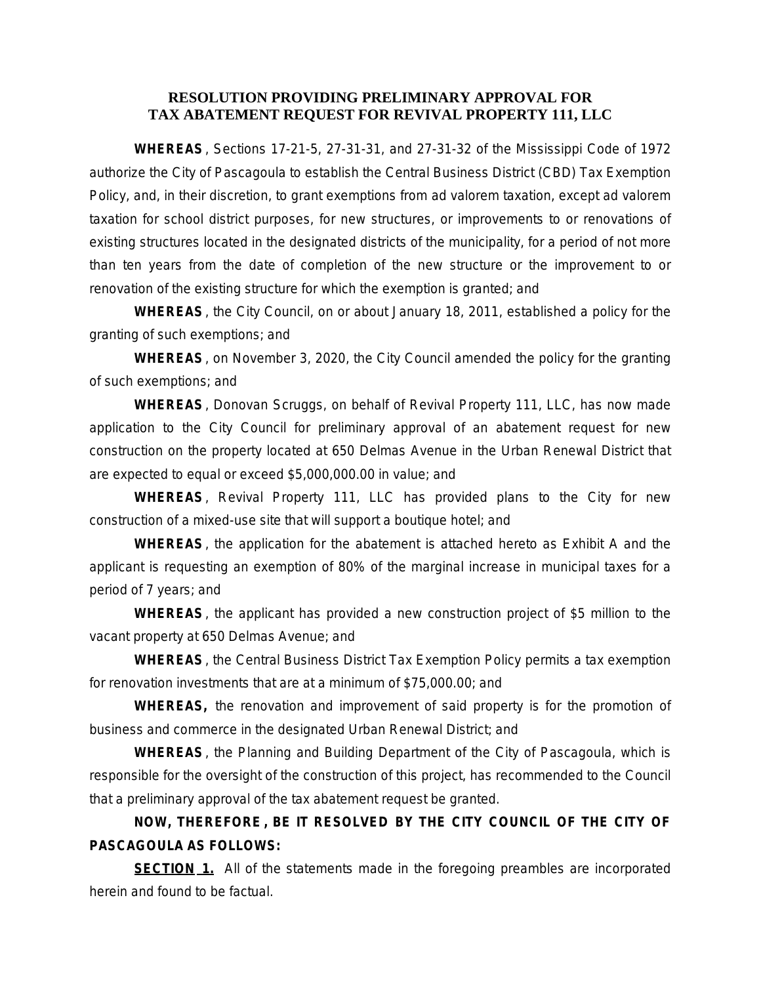## **RESOLUTION PROVIDING PRELIMINARY APPROVAL FOR TAX ABATEMENT REQUEST FOR REVIVAL PROPERTY 111, LLC**

**WHEREAS**, Sections 17-21-5, 27-31-31, and 27-31-32 of the Mississippi Code of 1972 authorize the City of Pascagoula to establish the Central Business District (CBD) Tax Exemption Policy, and, in their discretion, to grant exemptions from ad valorem taxation, except ad valorem taxation for school district purposes, for new structures, or improvements to or renovations of existing structures located in the designated districts of the municipality, for a period of not more than ten years from the date of completion of the new structure or the improvement to or renovation of the existing structure for which the exemption is granted; and

**WHEREAS**, the City Council, on or about January 18, 2011, established a policy for the granting of such exemptions; and

**WHEREAS**, on November 3, 2020, the City Council amended the policy for the granting of such exemptions; and

**WHEREAS**, Donovan Scruggs, on behalf of Revival Property 111, LLC, has now made application to the City Council for preliminary approval of an abatement request for new construction on the property located at 650 Delmas Avenue in the Urban Renewal District that are expected to equal or exceed \$5,000,000.00 in value; and

**WHEREAS**, Revival Property 111, LLC has provided plans to the City for new construction of a mixed-use site that will support a boutique hotel; and

**WHEREAS**, the application for the abatement is attached hereto as Exhibit A and the applicant is requesting an exemption of 80% of the marginal increase in municipal taxes for a period of 7 years; and

**WHEREAS**, the applicant has provided a new construction project of \$5 million to the vacant property at 650 Delmas Avenue; and

**WHEREAS**, the Central Business District Tax Exemption Policy permits a tax exemption for renovation investments that are at a minimum of \$75,000.00; and

**WHEREAS,** the renovation and improvement of said property is for the promotion of business and commerce in the designated Urban Renewal District; and

**WHEREAS**, the Planning and Building Department of the City of Pascagoula, which is responsible for the oversight of the construction of this project, has recommended to the Council that a preliminary approval of the tax abatement request be granted.

## **NOW, THEREFORE , BE IT RESOLVED BY THE CITY COUNCIL OF THE CITY OF PASCAGOULA AS FOLLOWS:**

**SECTION 1.** All of the statements made in the foregoing preambles are incorporated herein and found to be factual.